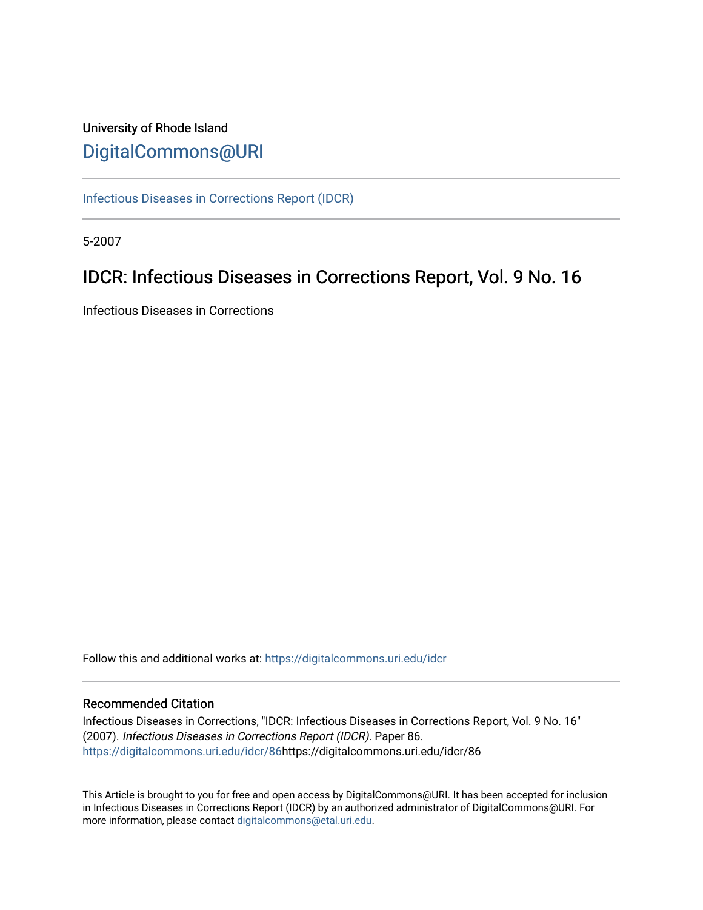## University of Rhode Island [DigitalCommons@URI](https://digitalcommons.uri.edu/)

[Infectious Diseases in Corrections Report \(IDCR\)](https://digitalcommons.uri.edu/idcr)

5-2007

# IDCR: Infectious Diseases in Corrections Report, Vol. 9 No. 16

Infectious Diseases in Corrections

Follow this and additional works at: [https://digitalcommons.uri.edu/idcr](https://digitalcommons.uri.edu/idcr?utm_source=digitalcommons.uri.edu%2Fidcr%2F86&utm_medium=PDF&utm_campaign=PDFCoverPages)

### Recommended Citation

Infectious Diseases in Corrections, "IDCR: Infectious Diseases in Corrections Report, Vol. 9 No. 16" (2007). Infectious Diseases in Corrections Report (IDCR). Paper 86. [https://digitalcommons.uri.edu/idcr/86h](https://digitalcommons.uri.edu/idcr/86?utm_source=digitalcommons.uri.edu%2Fidcr%2F86&utm_medium=PDF&utm_campaign=PDFCoverPages)ttps://digitalcommons.uri.edu/idcr/86

This Article is brought to you for free and open access by DigitalCommons@URI. It has been accepted for inclusion in Infectious Diseases in Corrections Report (IDCR) by an authorized administrator of DigitalCommons@URI. For more information, please contact [digitalcommons@etal.uri.edu.](mailto:digitalcommons@etal.uri.edu)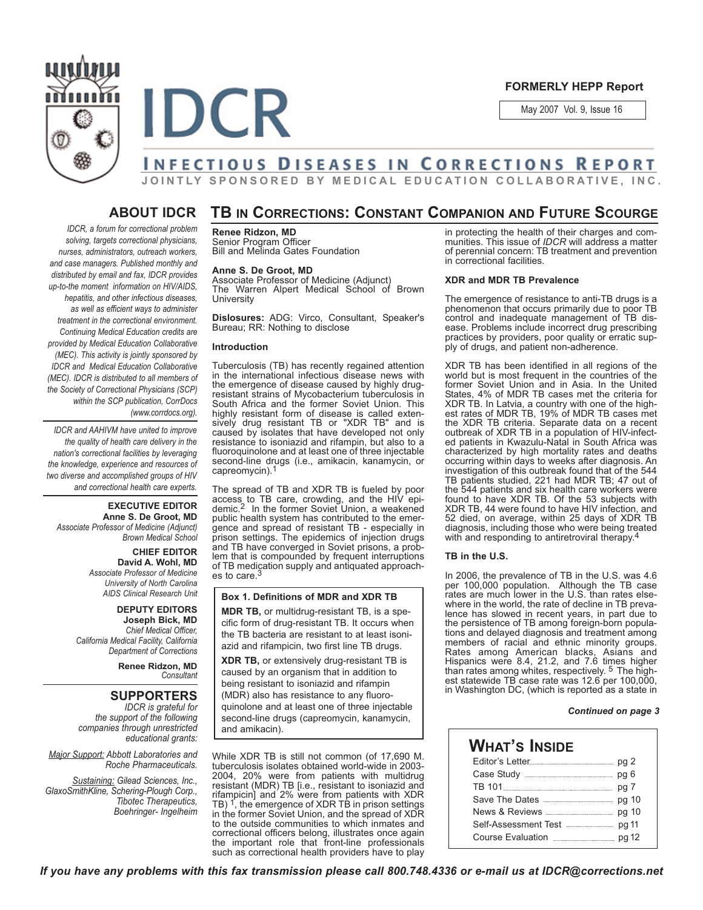

#### **FORMERLY HEPP Report**

May 2007 Vol. 9, Issue 16

# **INFECTIOUS DISEASES IN CORRECTIONS REPORT**

**JOINTLY SPONSORED BY MEDICAL EDUCATION COLLABORATIVE, INC.**

### **ABOUT IDCR**

## **TB IN CORRECTIONS: CONSTANT COMPANION AND FUTURE SCOURGE**

*IDCR, a forum for correctional problem solving, targets correctional physicians, nurses, administrators, outreach workers, and case managers. Published monthly and distributed by email and fax, IDCR provides up-to-the moment information on HIV/AIDS, hepatitis, and other infectious diseases, as well as efficient ways to administer treatment in the correctional environment. Continuing Medical Education credits are provided by Medical Education Collaborative (MEC). This activity is jointly sponsored by IDCR and Medical Education Collaborative (MEC). IDCR is distributed to all members of the Society of Correctional Physicians (SCP) within the SCP publication, CorrDocs (www.corrdocs.org).*

*IDCR and AAHIVM have united to improve the quality of health care delivery in the nation's correctional facilities by leveraging the knowledge, experience and resources of two diverse and accomplished groups of HIV and correctional health care experts.* 

#### **EXECUTIVE EDITOR Anne S. De Groot, MD** *Associate Professor of Medicine (Adjunct) Brown Medical School*

**CHIEF EDITOR David A. Wohl, MD** *Associate Professor of Medicine University of North Carolina*

*AIDS Clinical Research Unit* **DEPUTY EDITORS Joseph Bick, MD** *Chief Medical Officer, California Medical Facility, California Department of Corrections*

> **Renee Ridzon, MD** *Consultant*

### **SUPPORTERS**

*IDCR is grateful for the support of the following companies through unrestricted educational grants:*

*Major Support: Abbott Laboratories and Roche Pharmaceuticals.* 

*Sustaining: Gilead Sciences, Inc., GlaxoSmithKline, Schering-Plough Corp., Tibotec Therapeutics, Boehringer- Ingelheim* **Renee Ridzon, MD** Senior Program Officer Bill and Melinda Gates Foundation

#### **Anne S. De Groot, MD**

Associate Professor of Medicine (Adjunct) The Warren Alpert Medical School of Brown **University** 

**Dislosures:** ADG: Virco, Consultant, Speaker's Bureau; RR: Nothing to disclose

#### **Introduction**

**IDCR** 

Tuberculosis (TB) has recently regained attention in the international infectious disease news with the emergence of disease caused by highly drugresistant strains of Mycobacterium tuberculosis in South Africa and the former Soviet Union. This highly resistant form of disease is called extensively drug resistant TB or "XDR TB" and is caused by isolates that have developed not only resistance to isoniazid and rifampin, but also to a fluoroquinolone and at least one of three injectable second-line drugs (i.e., amikacin, kanamycin, or capreomycin).1

The spread of TB and XDR TB is fueled by poor access to TB care, crowding, and the HIV epi-demic.2 In the former Soviet Union, a weakened public health system has contributed to the emergence and spread of resistant TB - especially in prison settings. The epidemics of injection drugs and TB have converged in Soviet prisons, a problem that is compounded by frequent interruptions of TB medication supply and antiquated approaches to care.<sup>3</sup>

#### **Box 1. Definitions of MDR and XDR TB**

**MDR TB,** or multidrug-resistant TB, is a specific form of drug-resistant TB. It occurs when the TB bacteria are resistant to at least isoniazid and rifampicin, two first line TB drugs.

**XDR TB,** or extensively drug-resistant TB is caused by an organism that in addition to being resistant to isoniazid and rifampin (MDR) also has resistance to any fluoroquinolone and at least one of three injectable second-line drugs (capreomycin, kanamycin, and amikacin).

While XDR TB is still not common (of 17,690 M. tuberculosis isolates obtained world-wide in 2003- 2004, 20% were from patients with multidrug resistant (MDR) TB [i.e., resistant to isoniazid and rifampicin] and 2% were from patients with XDR TB) 1, the emergence of XDR TB in prison settings in the former Soviet Union, and the spread of XDR to the outside communities to which inmates and correctional officers belong, illustrates once again the important role that front-line professionals such as correctional health providers have to play in protecting the health of their charges and communities. This issue of *IDCR* will address a matter of perennial concern: TB treatment and prevention in correctional facilities.

#### **XDR and MDR TB Prevalence**

The emergence of resistance to anti-TB drugs is a phenomenon that occurs primarily due to poor TB control and inadequate management of TB disease. Problems include incorrect drug prescribing practices by providers, poor quality or erratic supply of drugs, and patient non-adherence.

XDR TB has been identified in all regions of the world but is most frequent in the countries of the former Soviet Union and in Asia. In the United States, 4% of MDR TB cases met the criteria for XDR TB. In Latvia, a country with one of the highest rates of MDR TB, 19% of MDR TB cases met the XDR TB criteria. Separate data on a recent outbreak of XDR TB in a population of HIV-infected patients in Kwazulu-Natal in South Africa was characterized by high mortality rates and deaths occurring within days to weeks after diagnosis. An investigation of this outbreak found that of the 544 TB patients studied, 221 had MDR TB; 47 out of the 544 patients and six health care workers were found to have XDR TB. Of the 53 subjects with XDR TB, 44 were found to have HIV infection, and 52 died, on average, within 25 days of XDR TB diagnosis, including those who were being treated with and responding to antiretroviral therapy.

#### **TB in the U.S.**

In 2006, the prevalence of TB in the U.S. was 4.6 per 100,000 population. Although the TB case rates are much lower in the U.S. than rates elsewhere in the world, the rate of decline in TB prevalence has slowed in recent years, in part due to the persistence of TB among foreign-born populations and delayed diagnosis and treatment among members of racial and ethnic minority groups. Rates among American blacks, Asians and Hispanics were 8.4, 21.2, and 7.6 times higher than rates among whites, respectively. 5 The highest statewide TB case rate was 12.6 per 100,000, in Washington DC, (which is reported as a state in

#### *Continued on page 3*

| <b>WHAT'S INSIDE</b> |                                          |  |  |  |  |  |
|----------------------|------------------------------------------|--|--|--|--|--|
|                      |                                          |  |  |  |  |  |
|                      |                                          |  |  |  |  |  |
|                      |                                          |  |  |  |  |  |
|                      | Save The Dates <b>Election</b> pq 10     |  |  |  |  |  |
|                      |                                          |  |  |  |  |  |
|                      | Self-Assessment Test <b>Elect</b> pq 11  |  |  |  |  |  |
|                      | Course Evaluation <b>Example 2</b> pg 12 |  |  |  |  |  |
|                      |                                          |  |  |  |  |  |

*If you have any problems with this fax transmission please call 800.748.4336 or e-mail us at IDCR@corrections.net*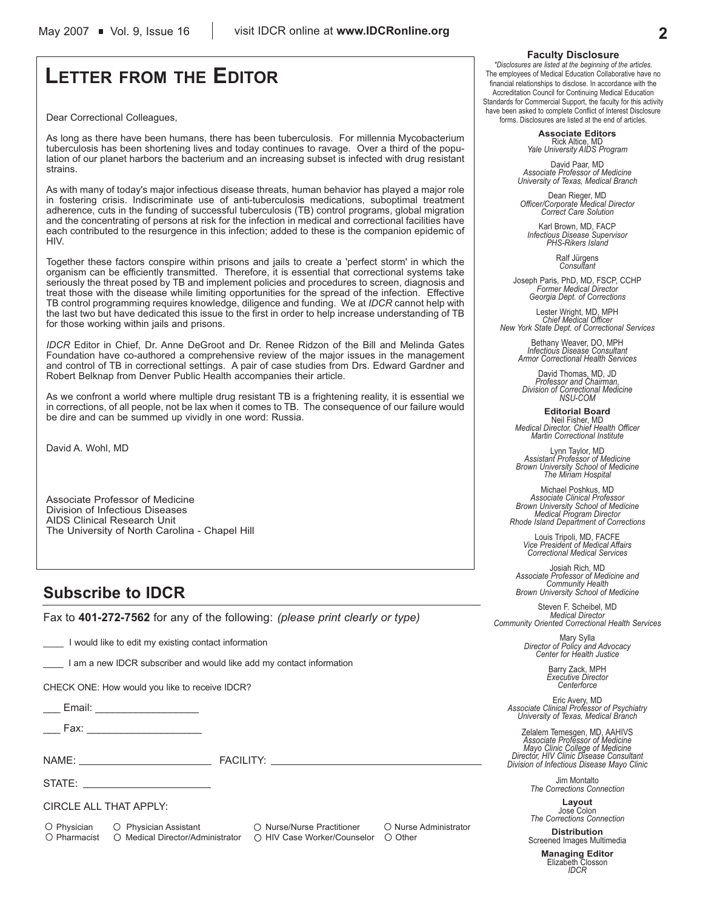# **LETTER FROM THE EDITOR**

Dear Correctional Colleagues,

As long as there have been humans, there has been tuberculosis. For millennia Mycobacterium tuberculosis has been shortening lives and today continues to ravage. Over a third of the population of our planet harbors the bacterium and an increasing subset is infected with drug resistant strains.

As with many of today's major infectious disease threats, human behavior has played a major role in fostering crisis. Indiscriminate use of anti-tuberculosis medications, suboptimal treatment adherence, cuts in the funding of successful tuberculosis (TB) control programs, global migration and the concentrating of persons at risk for the infection in medical and correctional facilities have each contributed to the resurgence in this infection; added to these is the companion epidemic of HIV.

Together these factors conspire within prisons and jails to create a 'perfect storm' in which the organism can be efficiently transmitted. Therefore, it is essential that correctional systems take seriously the threat posed by TB and implement policies and procedures to screen, diagnosis and treat those with the disease while limiting opportunities for the spread of the infection. Effective TB control programming requires knowledge, diligence and funding. We at *IDCR* cannot help with the last two but have dedicated this issue to the first in order to help increase understanding of TB for those working within jails and prisons.

*IDCR* Editor in Chief, Dr. Anne DeGroot and Dr. Renee Ridzon of the Bill and Melinda Gates Foundation have co-authored a comprehensive review of the major issues in the management and control of TB in correctional settings. A pair of case studies from Drs. Edward Gardner and Robert Belknap from Denver Public Health accompanies their article.

As we confront a world where multiple drug resistant TB is a frightening reality, it is essential we in corrections, of all people, not be lax when it comes to TB. The consequence of our failure would be dire and can be summed up vividly in one word: Russia.

David A. Wohl, MD

Associate Professor of Medicine Division of Infectious Diseases AIDS Clinical Research Unit The University of North Carolina - Chapel Hill

## **Subscribe to IDCR**

Fax to **401-272-7562** for any of the following: *(please print clearly or type)*

I would like to edit my existing contact information

I am a new IDCR subscriber and would like add my contact information

CHECK ONE: How would you like to receive IDCR?

Email: **Email:**  $\blacksquare$ 

Fax:  $\overline{\phantom{a}}$ 

NAME: THE RESERVE TO THE RESERVE TO THE RESERVE TO THE RESERVE TO THE RESERVE TO THE RESERVE TO THE RESERVE TO

STATE:

CIRCLE ALL THAT APPLY:

O Physician O Physician Assistant O Nurse/Nurse Practitioner O Nurse Administrator  $\bigcirc$  Pharmacist  $\bigcirc$  Medical Director/Administrator  $\bigcirc$  HIV Case Worker/Counselor  $\bigcirc$  Other

#### **Faculty Disclosure**

*\*Disclosures are listed at the beginning of the articles.* The employees of Medical Education Collaborative have no financial relationships to disclose. In accordance with the Accreditation Council for Continuing Medical Education Standards for Commercial Support, the faculty for this activity have been asked to complete Conflict of Interest Disclosure forms. Disclosures are listed at the end of articles.

> **Associate Editors** Rick Altice, MD *Yale University AIDS Program*

David Paar, MD *Associate Professor of Medicine University of Texas, Medical Branch*

Dean Rieger, MD *Officer/Corporate Medical Director Correct Care Solution*

Karl Brown, MD, FACP *Infectious Disease Supervisor PHS-Rikers Island*

Ralf Jürgens *Consultant*

Joseph Paris, PhD, MD, FSCP, CCHP *Former Medical Director Georgia Dept. of Corrections*

Lester Wright, MD, MPH *Chief Medical Officer New York State Dept. of Correctional Services*

> Bethany Weaver, DO, MPH *Infectious Disease Consultant Armor Correctional Health Services*

David Thomas, MD, JD *Professor and Chairman, Division of Correctional Medicine NSU-COM*

**Editorial Board** Neil Fisher, MD *Medical Director, Chief Health Officer Martin Correctional Institute*

Lynn Taylor, MD *Assistant Professor of Medicine Brown University School of Medicine The Miriam Hospital*

Michael Poshkus, MD *Associate Clinical Professor Brown University School of Medicine Medical Program Director Rhode Island Department of Corrections*

Louis Tripoli, MD, FACFE *Vice President of Medical Affairs Correctional Medical Services*

Josiah Rich, MD *Associate Professor of Medicine and Community Health Brown University School of Medicine*

Steven F. Scheibel, MD *Medical Director Community Oriented Correctional Health Services*

Mary Sylla *Director of Policy and Advocacy Center for Health Justice*

Barry Zack, MPH *Executive Director Centerforce*

Eric Avery, MD *Associate Clinical Professor of Psychiatry University of Texas, Medical Branch*

Zelalem Temesgen, MD, AAHIVS *Associate Professor of Medicine Mayo Clinic College of Medicine Director, HIV Clinic Disease Consultant Division of Infectious Disease Mayo Clinic*

> Jim Montalto *The Corrections Connection*

**Layout** Jose Colon *The Corrections Connection*

**Distribution** Screened Images Multimedia

**Managing Editor** Elizabeth Closson *IDCR*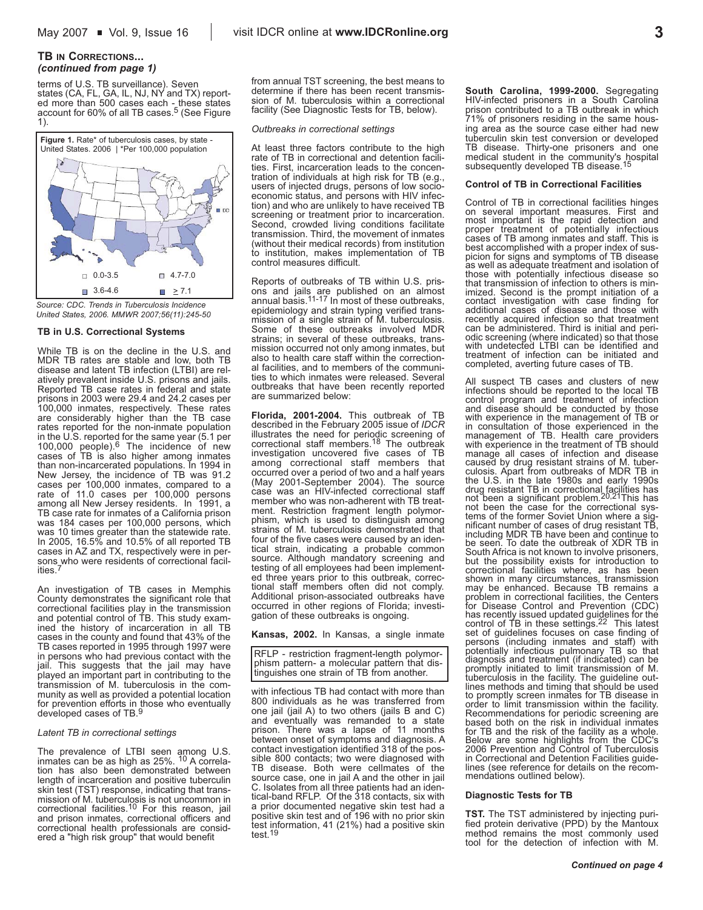#### **TB IN CORRECTIONS...** *(continued from page 1)*

terms of U.S. TB surveillance). Seven states (CA, FL, GA, IL, NJ, NY and TX) reported more than 500 cases each - these states account for 60% of all TB cases.5 (See Figure 1).



*Source: CDC. Trends in Tuberculosis Incidence United States, 2006. MMWR 2007;56(11):245-50*

#### **TB in U.S. Correctional Systems**

While TB is on the decline in the U.S. and MDR TB rates are stable and low, both TB disease and latent TB infection (LTBI) are relatively prevalent inside U.S. prisons and jails. Reported TB case rates in federal and state prisons in 2003 were 29.4 and 24.2 cases per 100,000 inmates, respectively. These rates are considerably higher than the TB case rates reported for the non-inmate population in the U.S. reported for the same year (5.1 per<br>100,000 people).<sup>6</sup> The incidence of new cases of TB is also higher among inmates than non-incarcerated populations. In 1994 in New Jersey, the incidence of TB was 91.2 cases per 100,000 inmates, compared to a rate of 11.0 cases per 100,000 persons among all New Jersey residents. In 1991, a TB case rate for inmates of a California prison was 184 cases per 100,000 persons, which was 10 times greater than the statewide rate. In 2005, 16.5% and 10.5% of all reported TB cases in AZ and TX, respectively were in persons who were residents of correctional facilities.<sup>7</sup>

An investigation of TB cases in Memphis County demonstrates the significant role that correctional facilities play in the transmission and potential control of TB. This study examined the history of incarceration in all TB cases in the county and found that 43% of the TB cases reported in 1995 through 1997 were in persons who had previous contact with the jail. This suggests that the jail may have played an important part in contributing to the transmission of M. tuberculosis in the community as well as provided a potential location for prevention efforts in those who eventually<br>developed cases of TB.<sup>9</sup>

#### *Latent TB in correctional settings*

The prevalence of LTBI seen among U.S. inmates can be as high as 25%. 10 A correlation has also been demonstrated between length of incarceration and positive tuberculin skin test (TST) response, indicating that transmission of M. tuberculosis is not uncommon in correctional facilities.10 For this reason, jail and prison inmates, correctional officers and correctional health professionals are considered a "high risk group" that would benefit

from annual TST screening, the best means to determine if there has been recent transmission of M. tuberculosis within a correctional facility (See Diagnostic Tests for TB, below).

#### *Outbreaks in correctional settings*

At least three factors contribute to the high rate of TB in correctional and detention facilities. First, incarceration leads to the concentration of individuals at high risk for TB (e.g., users of injected drugs, persons of low socioeconomic status, and persons with HIV infection) and who are unlikely to have received TB screening or treatment prior to incarceration. Second, crowded living conditions facilitate transmission. Third, the movement of inmates (without their medical records) from institution to institution, makes implementation of TB control measures difficult.

Reports of outbreaks of TB within U.S. prisons and jails are published on an almost annual basis.11-17 In most of these outbreaks, epidemiology and strain typing verified transmission of a single strain of M. tuberculosis. Some of these outbreaks involved MDR strains; in several of these outbreaks, transmission occurred not only among inmates, but also to health care staff within the correctional facilities, and to members of the communities to which inmates were released. Several outbreaks that have been recently reported are summarized below:

**Florida, 2001-2004.** This outbreak of TB described in the February 2005 issue of *IDCR* illustrates the need for periodic screening of<br>correctional staff members.<sup>18</sup> The outbreak investigation uncovered five cases of TB among correctional staff members that occurred over a period of two and a half years (May 2001-September 2004). The source case was an HIV-infected correctional staff member who was non-adherent with TB treatment. Restriction fragment length polymorphism, which is used to distinguish among strains of M. tuberculosis demonstrated that four of the five cases were caused by an identical strain, indicating a probable common source. Although mandatory screening and testing of all employees had been implemented three years prior to this outbreak, correctional staff members often did not comply. Additional prison-associated outbreaks have occurred in other regions of Florida; investigation of these outbreaks is ongoing.

#### **Kansas, 2002.** In Kansas, a single inmate

RFLP - restriction fragment-length polymorphism pattern- a molecular pattern that distinguishes one strain of TB from another.

with infectious TB had contact with more than 800 individuals as he was transferred from one jail (jail A) to two others (jails B and C) and eventually was remanded to a state prison. There was a lapse of 11 months between onset of symptoms and diagnosis. A contact investigation identified 318 of the possible 800 contacts; two were diagnosed with TB disease. Both were cellmates of the source case, one in jail A and the other in jail C. Isolates from all three patients had an identical-band RFLP. Of the 318 contacts, six with a prior documented negative skin test had a positive skin test and of 196 with no prior skin test information, 41 (21%) had a positive skin test.<sup>19</sup>

**South Carolina, 1999-2000.** Segregating HIV-infected prisoners in a South Carolina prison contributed to a TB outbreak in which 71% of prisoners residing in the same housing area as the source case either had new tuberculin skin test conversion or developed TB disease. Thirty-one prisoners and one medical student in the community's hospital subsequently developed TB disease.<sup>15</sup>

#### **Control of TB in Correctional Facilities**

Control of TB in correctional facilities hinges on several important measures. First and most important is the rapid detection and proper treatment of potentially infectious cases of TB among inmates and staff. This is best accomplished with a proper index of suspicion for signs and symptoms of TB disease as well as adequate treatment and isolation of those with potentially infectious disease so that transmission of infection to others is minimized. Second is the prompt initiation of a contact investigation with case finding for additional cases of disease and those with recently acquired infection so that treatment can be administered. Third is initial and peri-<br>odic screening (where indicated) so that those with undetected LTBI can be identified and treatment of infection can be initiated and completed, averting future cases of TB.

All suspect TB cases and clusters of new infections should be reported to the local TB control program and treatment of infection and disease should be conducted by those with experience in the management of TB or in consultation of those experienced in the management of TB. Health care providers with experience in the treatment of TB should manage all cases of infection and disease caused by drug resistant strains of M. tuber-<br>culosis. Apart from outbreaks of MDR TB in<br>the U.S. in the late 1980s and early 1990s<br>drug resistant TB in correctional facilities has<br>not been a significant problem.<sup>20,21</sup>Thi nificant number of cases of drug resistant TB, including MDR TB have been and continue to be seen. To date the outbreak of XDR TB in South Africa is not known to involve prisoners, but the possibility exists for introduction to correctional facilities where, as has been shown in many circumstances, transmission may be enhanced. Because TB remains a problem in correctional facilities, the Centers for Disease Control and Prevention (CDC) has recently issued updated guidelines for the control of TB in these settings.22 This latest set of guidelines focuses on case finding of persons (including inmates and staff) with potentially infectious pulmonary TB so that diagnosis and treatment (if indicated) can be promptly initiated to limit transmission of M.<br>tuberculosis in the facility. The guideline out-<br>lines methods and timing that should be used<br>to promptly screen inmates for TB disease in<br>order to limit transmission within t Recommendations for periodic screening are based both on the risk in individual inmates for TB and the risk of the facility as a whole. Below are some highlights from the CDC's 2006 Prevention and Control of Tuberculosis in Correctional and Detention Facilities guidelines (see reference for details on the recommendations outlined below).

#### **Diagnostic Tests for TB**

**TST.** The TST administered by injecting purified protein derivative (PPD) by the Mantoux method remains the most commonly used tool for the detection of infection with M.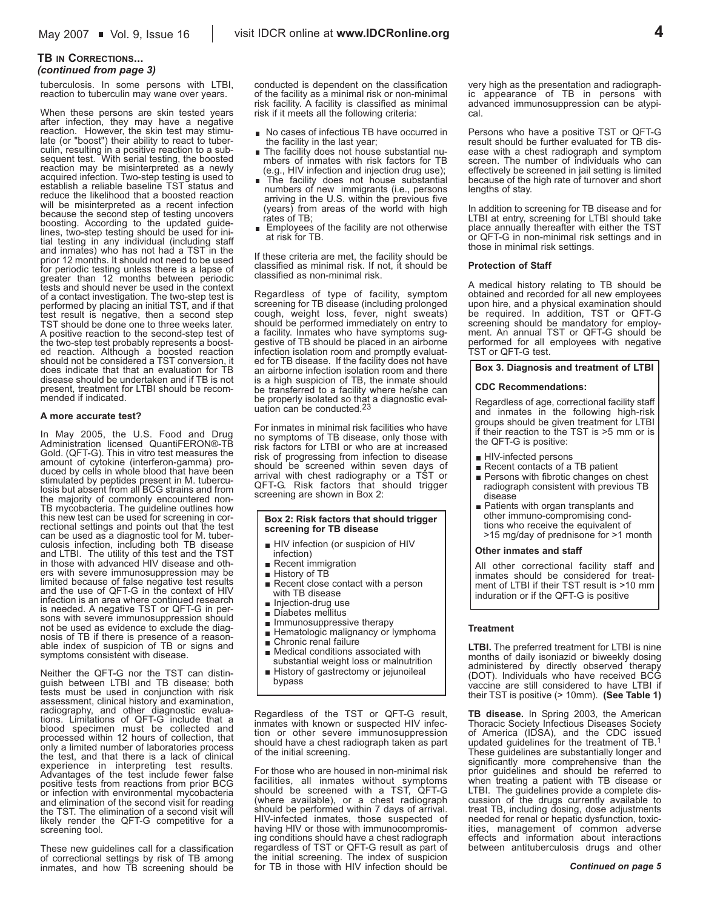#### **TB IN CORRECTIONS...** *(continued from page 3)*

tuberculosis. In some persons with LTBI, reaction to tuberculin may wane over years.

When these persons are skin tested years after infection, they may have a negative reaction. However, the skin test may stimulate (or "boost") their ability to react to tuberculin, resulting in a positive reaction to a subsequent test. With serial testing, the boosted reaction may be misinterpreted as a newly acquired infection. Two-step testing is used to establish a reliable baseline TST status and reduce the likelihood that a boosted reaction will be misinterpreted as a recent infection because the second step of testing uncovers boosting. According to the updated guidelines, two-step testing should be used for initial testing in any individual (including staff and inmates) who has not had a TST in the prior 12 months. It should not need to be used for periodic testing unless there is a lapse of greater than 12 months between periodic tests and should never be used in the context of a contact investigation. The two-step test is performed by placing an initial TST, and if that test result is negative, then a second step TST should be done one to three weeks later. A positive reaction to the second-step test of the two-step test probably represents a boosted reaction. Although a boosted reaction should not be considered a TST conversion, it does indicate that that an evaluation for TB disease should be undertaken and if TB is not present, treatment for LTBI should be recommended if indicated.

#### **A more accurate test?**

In May 2005, the U.S. Food and Drug Administration licensed QuantiFERON®-TB Gold. (QFT-G). This in vitro test measures the amount of cytokine (interferon-gamma) produced by cells in whole blood that have been stimulated by peptides present in M. tuberculosis but absent from all BCG strains and from the majority of commonly encountered non-TB mycobacteria. The guideline outlines how this new test can be used for screening in correctional settings and points out that the test can be used as a diagnostic tool for M. tuberculosis infection, including both TB disease and LTBI. The utility of this test and the TST in those with advanced HIV disease and others with severe immunosuppression may be limited because of false negative test results and the use of QFT-G in the context of HIV infection is an area where continued research is needed. A negative TST or QFT-G in persons with severe immunosuppression should not be used as evidence to exclude the diagnosis of TB if there is presence of a reasonable index of suspicion of TB or signs and symptoms consistent with disease.

Neither the QFT-G nor the TST can distinguish between LTBI and TB disease; both tests must be used in conjunction with risk assessment, clinical history and examination, radiography, and other diagnostic evaluations. Limitations of QFT-G include that a blood specimen must be collected and processed within 12 hours of collection, that only a limited number of laboratories process the test, and that there is a lack of clinical experience in interpreting test results. Advantages of the test include fewer false positive tests from reactions from prior BCG or infection with environmental mycobacteria and elimination of the second visit for reading the TST. The elimination of a second visit will likely render the QFT-G competitive for a screening tool.

These new guidelines call for a classification of correctional settings by risk of TB among inmates, and how TB screening should be conducted is dependent on the classification of the facility as a minimal risk or non-minimal risk facility. A facility is classified as minimal risk if it meets all the following criteria:

- No cases of infectious TB have occurred in the facility in the last year;
- The facility does not house substantial numbers of inmates with risk factors for TB (e.g., HIV infection and injection drug use);
- **n** The facility does not house substantial numbers of new immigrants (i.e., persons arriving in the U.S. within the previous five (years) from areas of the world with high rates of TB;
- **Employees of the facility are not otherwise** at risk for TB.

If these criteria are met, the facility should be classified as minimal risk. If not, it should be classified as non-minimal risk.

Regardless of type of facility, symptom screening for TB disease (including prolonged cough, weight loss, fever, night sweats) should be performed immediately on entry to a facility. Inmates who have symptoms suggestive of TB should be placed in an airborne infection isolation room and promptly evaluated for TB disease. If the facility does not have an airborne infection isolation room and there is a high suspicion of TB, the inmate should be transferred to a facility where he/she can be properly isolated so that a diagnostic eval-uation can be conducted.23

For inmates in minimal risk facilities who have no symptoms of TB disease, only those with risk factors for LTBI or who are at increased risk of progressing from infection to disease should be screened within seven days of arrival with chest radiography or a TST or QFT-G. Risk factors that should trigger screening are shown in Box 2:

#### **Box 2: Risk factors that should trigger screening for TB disease**

- HIV infection (or suspicion of HIV infection)
- Recent immigration
- **History of TB**
- Recent close contact with a person with TB disease
- **n** Injection-drug use
- Diabetes mellitus
- **Immunosuppressive therapy**
- **Hematologic malignancy or lymphoma**
- Chronic renal failure **Medical conditions associated with**
- substantial weight loss or malnutrition
- History of gastrectomy or jejunoileal bypass

Regardless of the TST or QFT-G result, inmates with known or suspected HIV infection or other severe immunosuppression should have a chest radiograph taken as part of the initial screening.

For those who are housed in non-minimal risk facilities, all inmates without symptoms should be screened with a TST, QFT-G (where available), or a chest radiograph should be performed within 7 days of arrival. HIV-infected inmates, those suspected of having HIV or those with immunocompromising conditions should have a chest radiograph regardless of TST or QFT-G result as part of the initial screening. The index of suspicion for TB in those with HIV infection should be

very high as the presentation and radiographic appearance of TB in persons with advanced immunosuppression can be atypical.

Persons who have a positive TST or QFT-G result should be further evaluated for TB disease with a chest radiograph and symptom screen. The number of individuals who can effectively be screened in jail setting is limited because of the high rate of turnover and short lengths of stay.

In addition to screening for TB disease and for LTBI at entry, screening for LTBI should take place annually thereafter with either the TST or QFT-G in non-minimal risk settings and in those in minimal risk settings.

#### **Protection of Staff**

A medical history relating to TB should be obtained and recorded for all new employees upon hire, and a physical examination should be required. In addition, TST or QFT-G screening should be mandatory for employment. An annual TST or QFT-G should be performed for all employees with negative TST or QFT-G test.

#### **Box 3. Diagnosis and treatment of LTBI**

#### **CDC Recommendations:**

Regardless of age, correctional facility staff and inmates in the following high-risk groups should be given treatment for LTBI if their reaction to the TST is >5 mm or is the QFT-G is positive:

- HIV-infected persons
- Recent contacts of a TB patient
- Persons with fibrotic changes on chest radiograph consistent with previous TB disease
- **Patients with organ transplants and** other immuno-compromising condtions who receive the equivalent of >15 mg/day of prednisone for >1 month

#### **Other inmates and staff**

All other correctional facility staff and inmates should be considered for treatment of LTBI if their TST result is >10 mm induration or if the QFT-G is positive

#### **Treatment**

**LTBI.** The preferred treatment for LTBI is nine months of daily isoniazid or biweekly dosing administered by directly observed therapy (DOT). Individuals who have received BCG vaccine are still considered to have LTBI if their TST is positive (> 10mm). **(See Table 1)**

**TB disease.** In Spring 2003, the American Thoracic Society Infectious Diseases Society of America (IDSA), and the CDC issued updated guidelines for the treatment of TB.<sup>1</sup> These guidelines are substantially longer and significantly more comprehensive than the prior guidelines and should be referred to when treating a patient with TB disease or LTBI. The guidelines provide a complete discussion of the drugs currently available to treat TB, including dosing, dose adjustments needed for renal or hepatic dysfunction, toxicities, management of common adverse effects and information about interactions between antituberculosis drugs and other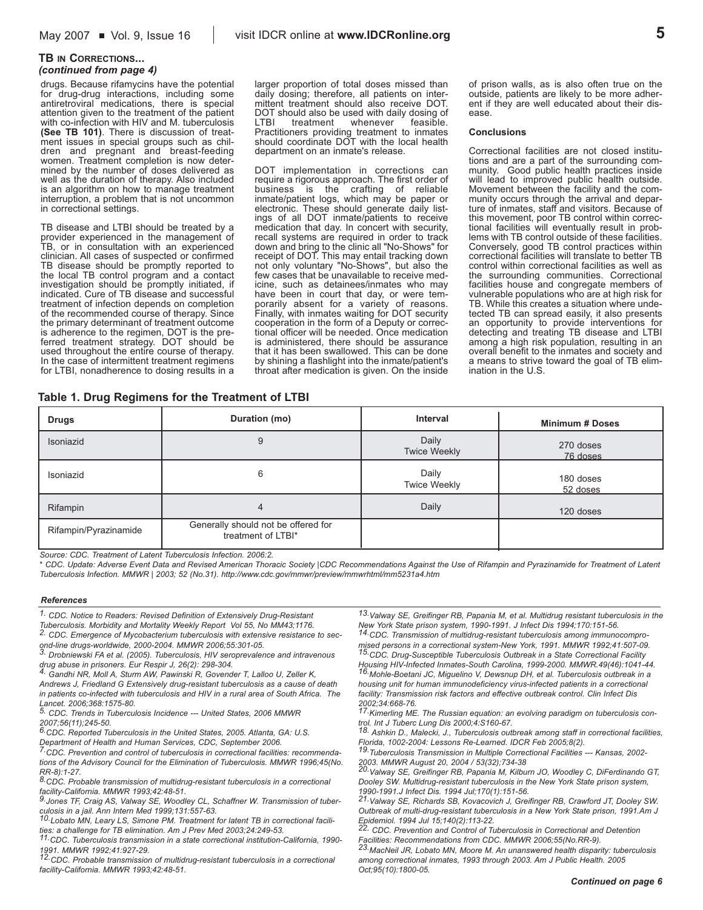## **5**

#### **TB IN CORRECTIONS...** *(continued from page 4)*

drugs. Because rifamycins have the potential for drug-drug interactions, including some antiretroviral medications, there is special attention given to the treatment of the patient with co-infection with HIV and M. tuberculosis **(See TB 101)**. There is discussion of treatment issues in special groups such as children and pregnant and breast-feeding women. Treatment completion is now determined by the number of doses delivered as well as the duration of therapy. Also included is an algorithm on how to manage treatment interruption, a problem that is not uncommon in correctional settings.

TB disease and LTBI should be treated by a provider experienced in the management of TB, or in consultation with an experienced clinician. All cases of suspected or confirmed TB disease should be promptly reported to the local TB control program and a contact investigation should be promptly initiated, if indicated. Cure of TB disease and successful treatment of infection depends on completion of the recommended course of therapy. Since the primary determinant of treatment outcome is adherence to the regimen, DOT is the preferred treatment strategy. DOT should be used throughout the entire course of therapy. In the case of intermittent treatment regimens for LTBI, nonadherence to dosing results in a

#### larger proportion of total doses missed than daily dosing; therefore, all patients on intermittent treatment should also receive DOT. DOT should also be used with daily dosing of<br>LTBI treatment whenever feasible. LTBI treatment whenever feasible. Practitioners providing treatment to inmates should coordinate DOT with the local health department on an inmate's release.

DOT implementation in corrections can require a rigorous approach. The first order of business is the crafting of reliable inmate/patient logs, which may be paper or electronic. These should generate daily listings of all DOT inmate/patients to receive medication that day. In concert with security, recall systems are required in order to track down and bring to the clinic all "No-Shows" for receipt of DOT. This may entail tracking down not only voluntary "No-Shows", but also the few cases that be unavailable to receive medicine, such as detainees/inmates who may have been in court that day, or were temporarily absent for a variety of reasons. Finally, with inmates waiting for DOT security cooperation in the form of a Deputy or correctional officer will be needed. Once medication is administered, there should be assurance that it has been swallowed. This can be done by shining a flashlight into the inmate/patient's throat after medication is given. On the inside of prison walls, as is also often true on the outside, patients are likely to be more adherent if they are well educated about their disease.

#### **Conclusions**

Correctional facilities are not closed institutions and are a part of the surrounding community. Good public health practices inside will lead to improved public health outside. Movement between the facility and the community occurs through the arrival and departure of inmates, staff and visitors. Because of this movement, poor TB control within correctional facilities will eventually result in problems with TB control outside of these facilities. Conversely, good TB control practices within correctional facilities will translate to better TB control within correctional facilities as well as the surrounding communities. Correctional facilities house and congregate members of vulnerable populations who are at high risk for TB. While this creates a situation where undetected TB can spread easily, it also presents an opportunity to provide interventions for detecting and treating TB disease and LTBI among a high risk population, resulting in an overall benefit to the inmates and society and a means to strive toward the goal of TB elimination in the U.S.

#### **Table 1. Drug Regimens for the Treatment of LTBI**

| <b>Drugs</b>          | Duration (mo)                                             | Interval                     | <b>Minimum # Doses</b> |  |
|-----------------------|-----------------------------------------------------------|------------------------------|------------------------|--|
| Isoniazid             | 9                                                         | Daily<br><b>Twice Weekly</b> | 270 doses<br>76 doses  |  |
| Isoniazid             | 6                                                         | Daily<br><b>Twice Weekly</b> | 180 doses<br>52 doses  |  |
| Rifampin              | $\overline{4}$                                            | Daily                        | 120 doses              |  |
| Rifampin/Pyrazinamide | Generally should not be offered for<br>treatment of LTBI* |                              |                        |  |

*Source: CDC. Treatment of Latent Tuberculosis Infection. 2006:2.* 

*\* CDC. Update: Adverse Event Data and Revised American Thoracic Society |CDC Recommendations Against the Use of Rifampin and Pyrazinamide for Treatment of Latent Tuberculosis Infection. MMWR | 2003; 52 (No.31). http://www.cdc.gov/mmwr/preview/mmwrhtml/mm5231a4.htm*

#### *References*

*1. CDC. Notice to Readers: Revised Definition of Extensively Drug-Resistant Tuberculosis. Morbidity and Mortality Weekly Report Vol 55, No MM43;1176.* 

*2. CDC. Emergence of Mycobacterium tuberculosis with extensive resistance to second-line drugs-worldwide, 2000-2004. MMWR 2006;55:301-05. 3. Drobniewski FA et al. (2005). Tuberculosis, HIV seroprevalence and intravenous*

*drug abuse in prisoners. Eur Respir J, 26(2): 298-304. 4. Gandhi NR, Moll A, Sturm AW, Pawinski R, Govender T, Lalloo U, Zeller K,*

*Andrews J, Friedland G Extensively drug-resistant tuberculosis as a cause of death in patients co-infected with tuberculosis and HIV in a rural area of South Africa. The*

*Lancet. 2006;368:1575-80. 5. CDC. Trends in Tuberculosis Incidence --- United States, 2006 MMWR 2007;56(11);245-50.*

*6.CDC. Reported Tuberculosis in the United States, 2005. Atlanta, GA: U.S.*

*Department of Health and Human Services, CDC, September 2006. 7.CDC. Prevention and control of tuberculosis in correctional facilities: recommendations of the Advisory Council for the Elimination of Tuberculosis. MMWR 1996;45(No.*

*RR-8):1-27. 8.CDC. Probable transmission of multidrug-resistant tuberculosis in a correctional*

*facility-California. MMWR 1993;42:48-51. 9.Jones TF, Craig AS, Valway SE, Woodley CL, Schaffner W. Transmission of tuber-*

*culosis in a jail. Ann Intern Med 1999;131:557-63. 10.Lobato MN, Leary LS, Simone PM. Treatment for latent TB in correctional facili-*

*ties: a challenge for TB elimination. Am J Prev Med 2003;24:249-53. 11.CDC. Tuberculosis transmission in a state correctional institution-California, 1990- 1991. MMWR 1992;41:927-29.*

*12.CDC. Probable transmission of multidrug-resistant tuberculosis in a correctional facility-California. MMWR 1993;42:48-51.*

*13.Valway SE, Greifinger RB, Papania M, et al. Multidrug resistant tuberculosis in the New York State prison system, 1990-1991. J Infect Dis 1994;170:151-56.*

*14.CDC. Transmission of multidrug-resistant tuberculosis among immunocompromised persons in a correctional system-New York, 1991. MMWR 1992;41:507-09. 15.CDC. Drug-Susceptible Tuberculosis Outbreak in a State Correctional Facility Housing HIV-Infected Inmates-South Carolina, 1999-2000. MMWR.49(46):1041-44. 16.Mohle-Boetani JC, Miguelino V, Dewsnup DH, et al. Tuberculosis outbreak in a housing unit for human immunodeficiency virus-infected patients in a correctional facility: Transmission risk factors and effective outbreak control. Clin Infect Dis*

*2002;34:668-76. 17.Kimerling ME. The Russian equation: an evolving paradigm on tuberculosis con-*

*trol. Int J Tuberc Lung Dis 2000;4:S160-67. 18. Ashkin D., Malecki, J., Tuberculosis outbreak among staff in correctional facilities,*

*Florida, 1002-2004: Lessons Re-Learned. IDCR Feb 2005;8(2). 19.Tuberculosis Transmission in Multiple Correctional Facilities --- Kansas, 2002- 2003. MMWR August 20, 2004 / 53(32);734-38*

*20.Valway SE, Greifinger RB, Papania M, Kilburn JO, Woodley C, DiFerdinando GT, Dooley SW. Multidrug-resistant tuberculosis in the New York State prison system,*

*1990-1991.J Infect Dis. 1994 Jul;170(1):151-56. 21.Valway SE, Richards SB, Kovacovich J, Greifinger RB, Crawford JT, Dooley SW. Outbreak of multi-drug-resistant tuberculosis in a New York State prison, 1991.Am J Epidemiol. 1994 Jul 15;140(2):113-22.*

*22. CDC. Prevention and Control of Tuberculosis in Correctional and Detention*

*Facilities: Recommendations from CDC. MMWR 2006;55(No.RR-9). 23.MacNeil JR, Lobato MN, Moore M. An unanswered health disparity: tuberculosis among correctional inmates, 1993 through 2003. Am J Public Health. 2005 Oct;95(10):1800-05.*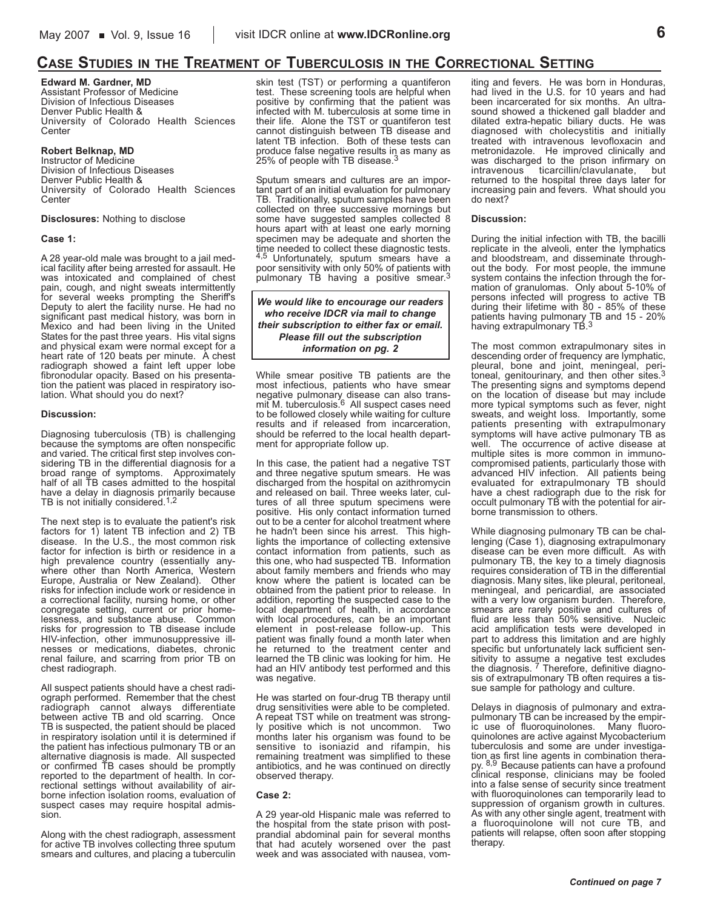## **CASE STUDIES IN THE TREATMENT OF TUBERCULOSIS IN THE CORRECTIONAL SETTING**

**Edward M. Gardner, MD** Assistant Professor of Medicine Division of Infectious Diseases Denver Public Health & University of Colorado Health Sciences Center

#### **Robert Belknap, MD**

Instructor of Medicine Division of Infectious Diseases Denver Public Health & University of Colorado Health Sciences **Center** 

#### **Disclosures:** Nothing to disclose

#### **Case 1:**

A 28 year-old male was brought to a jail medical facility after being arrested for assault. He was intoxicated and complained of chest pain, cough, and night sweats intermittently for several weeks prompting the Sheriff's Deputy to alert the facility nurse. He had no significant past medical history, was born in Mexico and had been living in the United States for the past three years. His vital signs and physical exam were normal except for a heart rate of 120 beats per minute. A chest radiograph showed a faint left upper lobe fibronodular opacity. Based on his presentation the patient was placed in respiratory isolation. What should you do next?

#### **Discussion:**

Diagnosing tuberculosis (TB) is challenging because the symptoms are often nonspecific and varied. The critical first step involves considering TB in the differential diagnosis for a broad range of symptoms. Approximately half of all TB cases admitted to the hospital have a delay in diagnosis primarily because<br>TB is not initially considered.<sup>1,2</sup>

The next step is to evaluate the patient's risk factors for 1) latent TB infection and 2) TB disease. In the U.S., the most common risk factor for infection is birth or residence in a high prevalence country (essentially anywhere other than North America, Western Europe, Australia or New Zealand). Other risks for infection include work or residence in a correctional facility, nursing home, or other congregate setting, current or prior homelessness, and substance abuse. Common risks for progression to TB disease include HIV-infection, other immunosuppressive illnesses or medications, diabetes, chronic renal failure, and scarring from prior TB on chest radiograph.

All suspect patients should have a chest radiograph performed. Remember that the chest radiograph cannot always differentiate between active TB and old scarring. Once TB is suspected, the patient should be placed in respiratory isolation until it is determined if the patient has infectious pulmonary TB or an alternative diagnosis is made. All suspected or confirmed TB cases should be promptly reported to the department of health. In correctional settings without availability of airborne infection isolation rooms, evaluation of suspect cases may require hospital admission.

Along with the chest radiograph, assessment for active TB involves collecting three sputum smears and cultures, and placing a tuberculin

skin test (TST) or performing a quantiferon test. These screening tools are helpful when positive by confirming that the patient was infected with M. tuberculosis at some time in their life. Alone the TST or quantiferon test cannot distinguish between TB disease and latent TB infection. Both of these tests can produce false negative results in as many as<br>25% of people with TB disease.<sup>3</sup>

Sputum smears and cultures are an important part of an initial evaluation for pulmonary TB. Traditionally, sputum samples have been collected on three successive mornings but some have suggested samples collected 8 hours apart with at least one early morning specimen may be adequate and shorten the time needed to collect these diagnostic tests. 4,5 Unfortunately, sputum smears have a poor sensitivity with only 50% of patients with<br>pulmonary TB having a positive smear.<sup>3</sup>

*We would like to encourage our readers who receive IDCR via mail to change their subscription to either fax or email. Please fill out the subscription information on pg. 2*

While smear positive TB patients are the most infectious, patients who have smear negative pulmonary disease can also trans-<br>mit M. tuberculosis.<sup>6</sup> All suspect cases need to be followed closely while waiting for culture results and if released from incarceration, should be referred to the local health department for appropriate follow up.

In this case, the patient had a negative TST and three negative sputum smears. He was discharged from the hospital on azithromycin and released on bail. Three weeks later, cultures of all three sputum specimens were positive. His only contact information turned out to be a center for alcohol treatment where he hadn't been since his arrest. This highlights the importance of collecting extensive contact information from patients, such as this one, who had suspected TB. Information about family members and friends who may know where the patient is located can be obtained from the patient prior to release. In addition, reporting the suspected case to the local department of health, in accordance with local procedures, can be an important element in post-release follow-up. This patient was finally found a month later when he returned to the treatment center and learned the TB clinic was looking for him. He had an HIV antibody test performed and this was negative.

He was started on four-drug TB therapy until drug sensitivities were able to be completed. A repeat TST while on treatment was strongly positive which is not uncommon. Two months later his organism was found to be sensitive to isoniazid and rifampin, his remaining treatment was simplified to these antibiotics, and he was continued on directly observed therapy.

#### **Case 2:**

A 29 year-old Hispanic male was referred to the hospital from the state prison with postprandial abdominal pain for several months that had acutely worsened over the past week and was associated with nausea, vom-

iting and fevers. He was born in Honduras, had lived in the U.S. for 10 years and had been incarcerated for six months. An ultrasound showed a thickened gall bladder and dilated extra-hepatic biliary ducts. He was diagnosed with cholecystitis and initially treated with intravenous levofloxacin and metronidazole. He improved clinically and was discharged to the prison infirmary on intravenous ticarcillin/clavulanate, but returned to the hospital three days later for increasing pain and fevers. What should you do next?

#### **Discussion:**

During the initial infection with TB, the bacilli replicate in the alveoli, enter the lymphatics and bloodstream, and disseminate throughout the body. For most people, the immune system contains the infection through the formation of granulomas. Only about 5-10% of persons infected will progress to active TB during their lifetime with 80 - 85% of these patients having pulmonary TB and 15 - 20%<br>having extrapulmonary TB.<sup>3</sup>

The most common extrapulmonary sites in descending order of frequency are lymphatic, pleural, bone and joint, meningeal, peritoneal, genitourinary, and then other sites.<sup>3</sup> The presenting signs and symptoms depend on the location of disease but may include more typical symptoms such as fever, night sweats, and weight loss. Importantly, some patients presenting with extrapulmonary symptoms will have active pulmonary TB as well. The occurrence of active disease at multiple sites is more common in immunocompromised patients, particularly those with advanced HIV infection. All patients being evaluated for extrapulmonary TB should have a chest radiograph due to the risk for occult pulmonary TB with the potential for airborne transmission to others.

While diagnosing pulmonary TB can be challenging (Case 1), diagnosing extrapulmonary disease can be even more difficult. As with pulmonary TB, the key to a timely diagnosis requires consideration of TB in the differential diagnosis. Many sites, like pleural, peritoneal, meningeal, and pericardial, are associated with a very low organism burden. Therefore, smears are rarely positive and cultures of fluid are less than 50% sensitive. Nucleic acid amplification tests were developed in part to address this limitation and are highly specific but unfortunately lack sufficient sensitivity to assume a negative test excludes the diagnosis. 7 Therefore, definitive diagnosis of extrapulmonary TB often requires a tissue sample for pathology and culture.

Delays in diagnosis of pulmonary and extrapulmonary TB can be increased by the empiric use of fluoroquinolones. Many fluoroquinolones are active against Mycobacterium tuberculosis and some are under investigation as first line agents in combination therapy. 8,9 Because patients can have a profound clinical response, clinicians may be fooled into a false sense of security since treatment with fluoroquinolones can temporarily lead to suppression of organism growth in cultures. As with any other single agent, treatment with a fluoroquinolone will not cure TB, and patients will relapse, often soon after stopping therapy.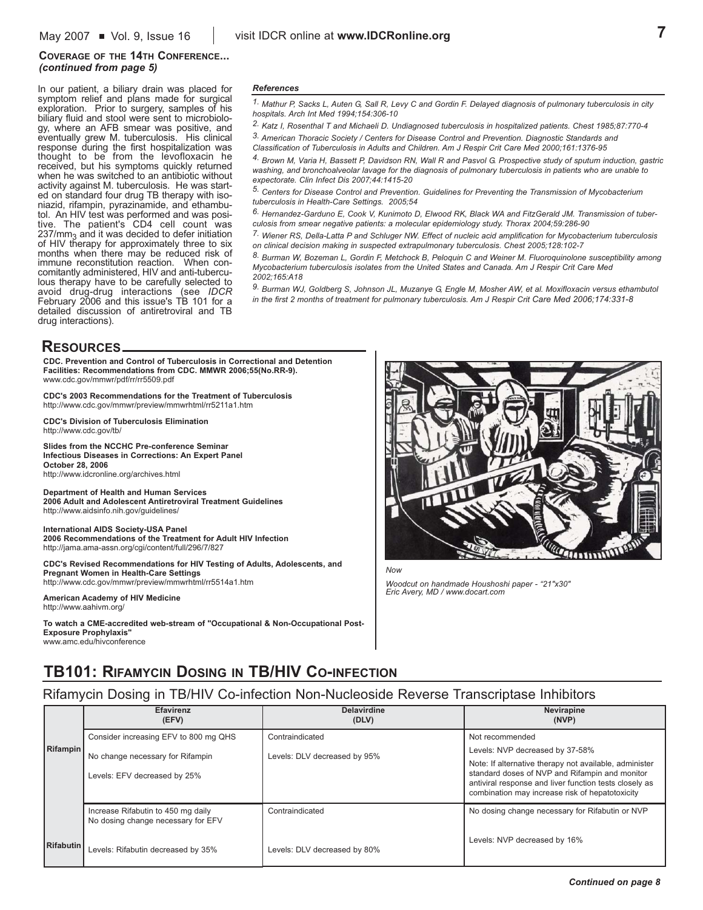#### **COVERAGE OF THE 14TH CONFERENCE...** *(continued from page 5)*

In our patient, a biliary drain was placed for symptom relief and plans made for surgical exploration. Prior to surgery, samples of his biliary fluid and stool were sent to microbiology, where an AFB smear was positive, and eventually grew M. tuberculosis. His clinical response during the first hospitalization was thought to be from the levofloxacin he received, but his symptoms quickly returned when he was switched to an antibiotic without activity against M. tuberculosis. He was started on standard four drug TB therapy with isoniazid, rifampin, pyrazinamide, and ethambutol. An HIV test was performed and was positive. The patient's CD4 cell count was  $237/mm<sub>3</sub>$  and it was decided to defer initiation of HIV therapy for approximately three to six months when there may be reduced risk of immune reconstitution reaction. When concomitantly administered, HIV and anti-tuberculous therapy have to be carefully selected to avoid drug-drug interactions (see *IDCR* February 2006 and this issue's TB 101 for a detailed discussion of antiretroviral and TB drug interactions).

#### *References*

*1. Mathur P, Sacks L, Auten G, Sall R, Levy C and Gordin F. Delayed diagnosis of pulmonary tuberculosis in city hospitals. Arch Int Med 1994;154:306-10*

*2. Katz I, Rosenthal T and Michaeli D. Undiagnosed tuberculosis in hospitalized patients. Chest 1985;87:770-4 3. American Thoracic Society / Centers for Disease Control and Prevention. Diagnostic Standards and Classification of Tuberculosis in Adults and Children. Am J Respir Crit Care Med 2000;161:1376-95*

*4. Brown M, Varia H, Bassett P, Davidson RN, Wall R and Pasvol G. Prospective study of sputum induction, gastric washing, and bronchoalveolar lavage for the diagnosis of pulmonary tuberculosis in patients who are unable to expectorate. Clin Infect Dis 2007;44:1415-20*

*5. Centers for Disease Control and Prevention. Guidelines for Preventing the Transmission of Mycobacterium tuberculosis in Health-Care Settings. 2005;54*

*6. Hernandez-Garduno E, Cook V, Kunimoto D, Elwood RK, Black WA and FitzGerald JM. Transmission of tuberculosis from smear negative patients: a molecular epidemiology study. Thorax 2004;59:286-90*

*7. Wiener RS, Della-Latta P and Schluger NW. Effect of nucleic acid amplification for Mycobacterium tuberculosis on clinical decision making in suspected extrapulmonary tuberculosis. Chest 2005;128:102-7*

*8. Burman W, Bozeman L, Gordin F, Metchock B, Peloquin C and Weiner M. Fluoroquinolone susceptibility among Mycobacterium tuberculosis isolates from the United States and Canada. Am J Respir Crit Care Med 2002;165:A18*

*9. Burman WJ, Goldberg S, Johnson JL, Muzanye G, Engle M, Mosher AW, et al. Moxifloxacin versus ethambutol in the first 2 months of treatment for pulmonary tuberculosis. Am J Respir Crit Care Med 2006;174:331-8*

### **RESOURCES**

**CDC. Prevention and Control of Tuberculosis in Correctional and Detention Facilities: Recommendations from CDC. MMWR 2006;55(No.RR-9).**  www.cdc.gov/mmwr/pdf/rr/rr5509.pdf

**CDC's 2003 Recommendations for the Treatment of Tuberculosis**  http://www.cdc.gov/mmwr/preview/mmwrhtml/rr5211a1.htm

**CDC's Division of Tuberculosis Elimination** http://www.cdc.gov/tb/

**Slides from the NCCHC Pre-conference Seminar Infectious Diseases in Corrections: An Expert Panel October 28, 2006** http://www.idcronline.org/archives.html

**Department of Health and Human Services 2006 Adult and Adolescent Antiretroviral Treatment Guidelines** http://www.aidsinfo.nih.gov/guidelines/

**International AIDS Society-USA Panel 2006 Recommendations of the Treatment for Adult HIV Infection** http://jama.ama-assn.org/cgi/content/full/296/7/827

**CDC's Revised Recommendations for HIV Testing of Adults, Adolescents, and Pregnant Women in Health-Care Settings** http://www.cdc.gov/mmwr/preview/mmwrhtml/rr5514a1.htm

**American Academy of HIV Medicine** http://www.aahivm.org/

**To watch a CME-accredited web-stream of "Occupational & Non-Occupational Post-Exposure Prophylaxis"**  www.amc.edu/hivconference



*Woodcut on handmade Houshoshi paper - "21"x30" Eric Avery, MD / www.docart.com* 

## **TB101: RIFAMYCIN DOSING IN TB/HIV CO-INFECTION**

### Rifamycin Dosing in TB/HIV Co-infection Non-Nucleoside Reverse Transcriptase Inhibitors

|           | <b>Efavirenz</b><br>(EFV)                                                | <b>Delavirdine</b><br>(DLV)  | Nevirapine<br>(NVP)                                                                                                                                                                                                   |
|-----------|--------------------------------------------------------------------------|------------------------------|-----------------------------------------------------------------------------------------------------------------------------------------------------------------------------------------------------------------------|
| Rifampin  | Consider increasing EFV to 800 mg QHS                                    | Contraindicated              | Not recommended                                                                                                                                                                                                       |
|           | No change necessary for Rifampin                                         | Levels: DLV decreased by 95% | Levels: NVP decreased by 37-58%                                                                                                                                                                                       |
|           | Levels: EFV decreased by 25%                                             |                              | Note: If alternative therapy not available, administer<br>standard doses of NVP and Rifampin and monitor<br>antiviral response and liver function tests closely as<br>combination may increase risk of hepatotoxicity |
|           | Increase Rifabutin to 450 mg daily<br>No dosing change necessary for EFV | Contraindicated              | No dosing change necessary for Rifabutin or NVP                                                                                                                                                                       |
| Rifabutin | Levels: Rifabutin decreased by 35%                                       | Levels: DLV decreased by 80% | Levels: NVP decreased by 16%                                                                                                                                                                                          |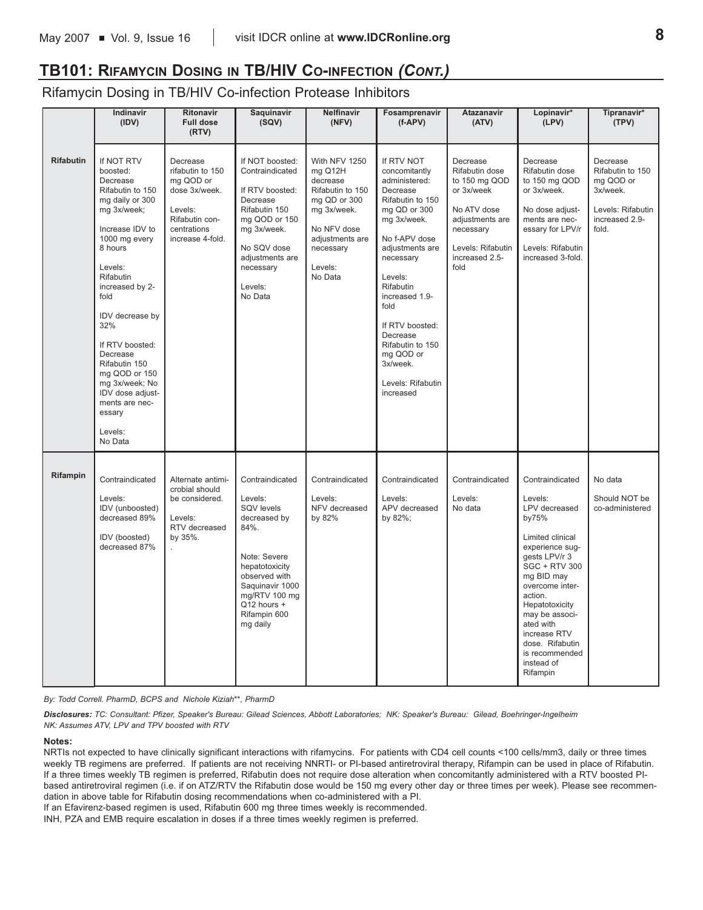## **TB101: RIFAMYCIN DOSING IN TB/HIV CO-INFECTION** *(CONT.)*

Rifamycin Dosing in TB/HIV Co-infection Protease Inhibitors

|                  | <b>Indinavir</b><br>(IDV)                                                                                                                                                                                                                                                                                                                                                     | <b>Ritonavir</b><br><b>Full dose</b><br>(RTV)                                                                              | Saquinavir<br>(SQV)                                                                                                                                                                                | <b>Nelfinavir</b><br>(NFV)                                                                                                                                   | Fosamprenavir<br>$(f-APV)$                                                                                                                                                                                                                                                                                                   | Atazanavir<br>(ATV)                                                                                                                                     | Lopinavir*<br>(LPV)                                                                                                                                                                                                                                                                                              | Tipranavir*<br>(TPV)                                                                                  |
|------------------|-------------------------------------------------------------------------------------------------------------------------------------------------------------------------------------------------------------------------------------------------------------------------------------------------------------------------------------------------------------------------------|----------------------------------------------------------------------------------------------------------------------------|----------------------------------------------------------------------------------------------------------------------------------------------------------------------------------------------------|--------------------------------------------------------------------------------------------------------------------------------------------------------------|------------------------------------------------------------------------------------------------------------------------------------------------------------------------------------------------------------------------------------------------------------------------------------------------------------------------------|---------------------------------------------------------------------------------------------------------------------------------------------------------|------------------------------------------------------------------------------------------------------------------------------------------------------------------------------------------------------------------------------------------------------------------------------------------------------------------|-------------------------------------------------------------------------------------------------------|
| <b>Rifabutin</b> | If NOT RTV<br>boosted:<br>Decrease<br>Rifabutin to 150<br>mg daily or 300<br>mg 3x/week;<br>Increase IDV to<br>1000 mg every<br>8 hours<br>Levels:<br>Rifabutin<br>increased by 2-<br>fold<br>IDV decrease by<br>32%<br>If RTV boosted:<br>Decrease<br>Rifabutin 150<br>mg QOD or 150<br>mg 3x/week; No<br>IDV dose adjust-<br>ments are nec-<br>essary<br>Levels:<br>No Data | Decrease<br>rifabutin to 150<br>mg QOD or<br>dose 3x/week.<br>Levels:<br>Rifabutin con-<br>centrations<br>increase 4-fold. | If NOT boosted:<br>Contraindicated<br>If RTV boosted:<br>Decrease<br>Rifabutin 150<br>mg QOD or 150<br>mg 3x/week.<br>No SQV dose<br>adjustments are<br>necessary<br>Levels:<br>No Data            | With NFV 1250<br>mg Q12H<br>decrease<br>Rifabutin to 150<br>mg QD or 300<br>mg 3x/week.<br>No NFV dose<br>adjustments are<br>necessary<br>Levels:<br>No Data | If RTV NOT<br>concomitantly<br>administered:<br>Decrease<br>Rifabutin to 150<br>mg QD or 300<br>mg 3x/week.<br>No f-APV dose<br>adjustments are<br>necessary<br>Levels:<br>Rifabutin<br>increased 1.9-<br>fold<br>If RTV boosted:<br>Decrease<br>Rifabutin to 150<br>mg QOD or<br>3x/week.<br>Levels: Rifabutin<br>increased | Decrease<br>Rifabutin dose<br>to 150 mg QOD<br>or 3x/week<br>No ATV dose<br>adjustments are<br>necessary<br>Levels: Rifabutin<br>increased 2.5-<br>fold | Decrease<br>Rifabutin dose<br>to 150 mg QOD<br>or 3x/week.<br>No dose adjust-<br>ments are nec-<br>essary for LPV/r<br>Levels: Rifabutin<br>increased 3-fold.                                                                                                                                                    | Decrease<br>Rifabutin to 150<br>mg QOD or<br>3x/week.<br>Levels: Rifabutin<br>increased 2.9-<br>fold. |
| Rifampin         | Contraindicated<br>Levels:<br>IDV (unboosted)<br>decreased 89%<br>IDV (boosted)<br>decreased 87%                                                                                                                                                                                                                                                                              | Alternate antimi-<br>crobial should<br>be considered.<br>Levels:<br>RTV decreased<br>by 35%.                               | Contraindicated<br>Levels:<br>SQV levels<br>decreased by<br>84%.<br>Note: Severe<br>hepatotoxicity<br>observed with<br>Saquinavir 1000<br>mg/RTV 100 mg<br>Q12 hours +<br>Rifampin 600<br>mg daily | Contraindicated<br>Levels:<br>NFV decreased<br>by 82%                                                                                                        | Contraindicated<br>Levels:<br>APV decreased<br>by 82%;                                                                                                                                                                                                                                                                       | Contraindicated<br>Levels:<br>No data                                                                                                                   | Contraindicated<br>Levels:<br>LPV decreased<br>by75%<br>Limited clinical<br>experience sug-<br>gests LPV/r 3<br><b>SGC + RTV 300</b><br>mg BID may<br>overcome inter-<br>action.<br>Hepatotoxicity<br>may be associ-<br>ated with<br>increase RTV<br>dose. Rifabutin<br>is recommended<br>instead of<br>Rifampin | No data<br>Should NOT be<br>co-administered                                                           |

*By: Todd Correll. PharmD, BCPS and Nichole Kiziah\*\*, PharmD*

*Disclosures: TC: Consultant: Pfizer, Speaker's Bureau: Gilead Sciences, Abbott Laboratories; NK: Speaker's Bureau: Gilead, Boehringer-Ingelheim NK: Assumes ATV, LPV and TPV boosted with RTV*

#### **Notes:**

NRTIs not expected to have clinically significant interactions with rifamycins. For patients with CD4 cell counts <100 cells/mm3, daily or three times weekly TB regimens are preferred. If patients are not receiving NNRTI- or PI-based antiretroviral therapy, Rifampin can be used in place of Rifabutin. If a three times weekly TB regimen is preferred, Rifabutin does not require dose alteration when concomitantly administered with a RTV boosted PIbased antiretroviral regimen (i.e. if on ATZ/RTV the Rifabutin dose would be 150 mg every other day or three times per week). Please see recommendation in above table for Rifabutin dosing recommendations when co-administered with a PI.

If an Efavirenz-based regimen is used, Rifabutin 600 mg three times weekly is recommended.

INH, PZA and EMB require escalation in doses if a three times weekly regimen is preferred.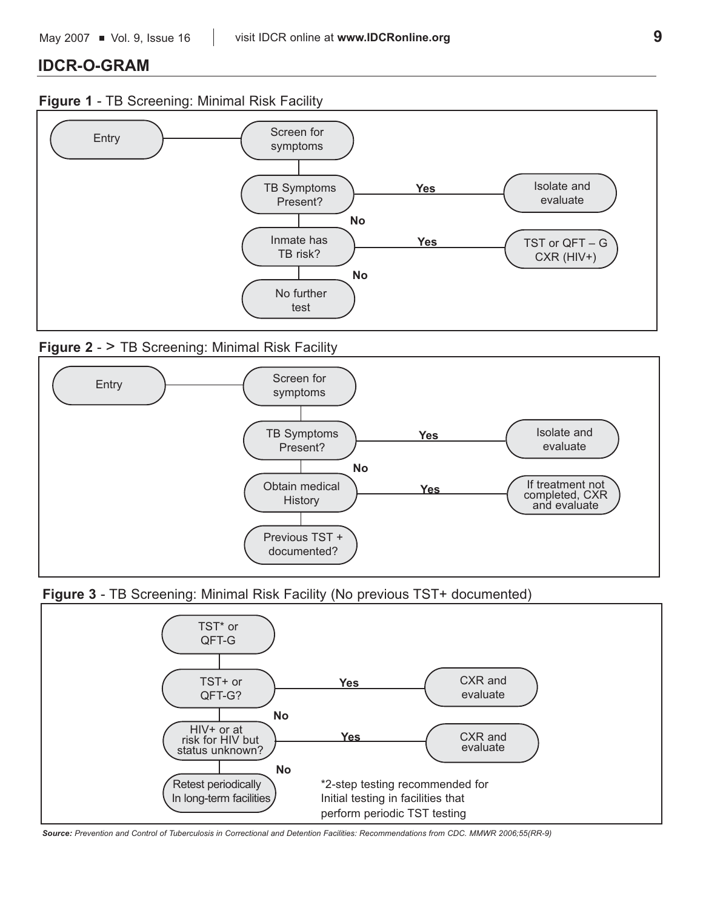## **IDCR-O-GRAM**

## **Figure 1** - TB Screening: Minimal Risk Facility



## **Figure 2 - > TB Screening: Minimal Risk Facility**



**Figure 3** - TB Screening: Minimal Risk Facility (No previous TST+ documented)



*Source: Prevention and Control of Tuberculosis in Correctional and Detention Facilities: Recommendations from CDC. MMWR 2006;55(RR-9)*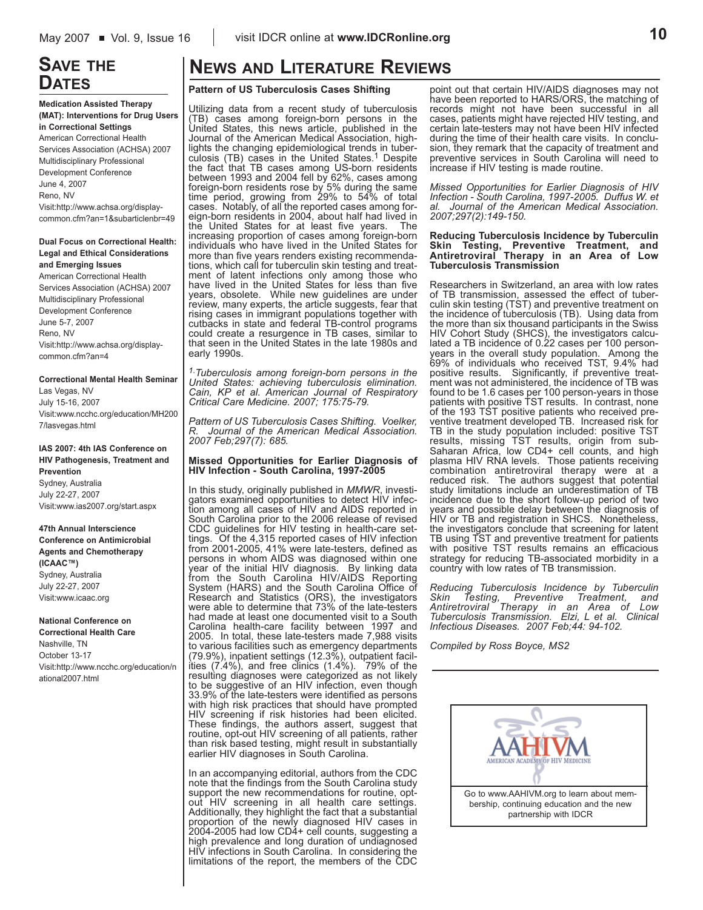## **SAVE THE DATES**

**Medication Assisted Therapy (MAT): Interventions for Drug Users in Correctional Settings** American Correctional Health Services Association (ACHSA) 2007 Multidisciplinary Professional Development Conference June 4, 2007 Reno, NV Visit:http://www.achsa.org/displaycommon.cfm?an=1&subarticlenbr=49

**Dual Focus on Correctional Health: Legal and Ethical Considerations and Emerging Issues**

American Correctional Health Services Association (ACHSA) 2007 Multidisciplinary Professional Development Conference June 5-7, 2007 Reno, NV Visit:http://www.achsa.org/displaycommon.cfm?an=4

**Correctional Mental Health Seminar** Las Vegas, NV July 15-16, 2007 Visit:www.ncchc.org/education/MH200 7/lasvegas.html

**IAS 2007: 4th IAS Conference on HIV Pathogenesis, Treatment and Prevention** Sydney, Australia July 22-27, 2007 Visit:www.ias2007.org/start.aspx

#### **47th Annual Interscience**

**Conference on Antimicrobial Agents and Chemotherapy (ICAAC™)** Sydney, Australia July 22-27, 2007 Visit:www.icaac.org

#### **National Conference on Correctional Health Care**

Nashville, TN October 13-17 Visit:http://www.ncchc.org/education/n ational2007.html

## **NEWS AND LITERATURE REVIEWS**

#### **Pattern of US Tuberculosis Cases Shifting**

Utilizing data from a recent study of tuberculosis (TB) cases among foreign-born persons in the United States, this news article, published in the Journal of the American Medical Association, highlights the changing epidemiological trends in tuberculosis (TB) cases in the United States.<sup>1</sup> Despite the fact that TB cases among US-born residents between 1993 and 2004 fell by 62%, cases among foreign-born residents rose by 5% during the same time period, growing from 29% to 54% of total cases. Notably, of all the reported cases among foreign-born residents in 2004, about half had lived in the United States for at least five years. The increasing proportion of cases among foreign-born individuals who have lived in the United States for more than five years renders existing recommendations, which call for tuberculin skin testing and treatment of latent infections only among those who have lived in the United States for less than five years, obsolete. While new guidelines are under review, many experts, the article suggests, fear that rising cases in immigrant populations together with cutbacks in state and federal TB-control programs could create a resurgence in TB cases, similar to that seen in the United States in the late 1980s and early 1990s.

*1.Tuberculosis among foreign-born persons in the United States: achieving tuberculosis elimination. Cain, KP et al. American Journal of Respiratory Critical Care Medicine. 2007; 175:75-79.* 

*Pattern of US Tuberculosis Cases Shifting. Voelker, R. Journal of the American Medical Association. 2007 Feb;297(7): 685.*

#### **Missed Opportunities for Earlier Diagnosis of HIV Infection - South Carolina, 1997-2005**

In this study, originally published in *MMWR*, investigators examined opportunities to detect HIV infection among all cases of HIV and AIDS reported in South Carolina prior to the 2006 release of revised CDC guidelines for HIV testing in health-care settings. Of the 4,315 reported cases of HIV infection from 2001-2005, 41% were late-testers, defined as persons in whom AIDS was diagnosed within one year of the initial HIV diagnosis. By linking data from the South Carolina HIV/AIDS Reporting System (HARS) and the South Carolina Office of Research and Statistics (ORS), the investigators were able to determine that 73% of the late-testers had made at least one documented visit to a South Carolina health-care facility between 1997 and 2005. In total, these late-testers made 7,988 visits to various facilities such as emergency departments (79.9%), inpatient settings (12.3%), outpatient facilities (7.4%), and free clinics (1.4%). 79% of the resulting diagnoses were categorized as not likely to be suggestive of an HIV infection, even though 33.9% of the late-testers were identified as persons with high risk practices that should have prompted HIV screening if risk histories had been elicited. These findings, the authors assert, suggest that routine, opt-out HIV screening of all patients, rather than risk based testing, might result in substantially earlier HIV diagnoses in South Carolina.

In an accompanying editorial, authors from the CDC note that the findings from the South Carolina study support the new recommendations for routine, optout HIV screening in all health care settings. Additionally, they highlight the fact that a substantial proportion of the newly diagnosed HIV cases in 2004-2005 had low CD4+ cell counts, suggesting a high prevalence and long duration of undiagnosed HIV infections in South Carolina. In considering the limitations of the report, the members of the CDC

point out that certain HIV/AIDS diagnoses may not have been reported to HARS/ORS, the matching of records might not have been successful in all cases, patients might have rejected HIV testing, and certain late-testers may not have been HIV infected during the time of their health care visits. In conclusion, they remark that the capacity of treatment and preventive services in South Carolina will need to increase if HIV testing is made routine.

*Missed Opportunities for Earlier Diagnosis of HIV Infection - South Carolina, 1997-2005. Duffus W. et al. Journal of the American Medical Association. 2007;297(2):149-150.*

#### **Reducing Tuberculosis Incidence by Tuberculin Skin Testing, Preventive Treatment, and Antiretroviral Therapy in an Area of Low Tuberculosis Transmission**

Researchers in Switzerland, an area with low rates of TB transmission, assessed the effect of tuberculin skin testing (TST) and preventive treatment on the incidence of tuberculosis (TB). Using data from the more than six thousand participants in the Swiss HIV Cohort Study (SHCS), the investigators calculated a TB incidence of 0.22 cases per 100 personyears in the overall study population. Among the 69% of individuals who received TST, 9.4% had positive results. Significantly, if preventive treatment was not administered, the incidence of TB was found to be 1.6 cases per 100 person-years in those patients with positive TST results. In contrast, none of the 193 TST positive patients who received preventive treatment developed TB. Increased risk for TB in the study population included: positive TST results, missing TST results, origin from sub-Saharan Africa, low CD4+ cell counts, and high plasma HIV RNA levels. Those patients receiving combination antiretroviral therapy were at a reduced risk. The authors suggest that potential study limitations include an underestimation of TB incidence due to the short follow-up period of two years and possible delay between the diagnosis of HIV or TB and registration in SHCS. Nonetheless, the investigators conclude that screening for latent TB using TST and preventive treatment for patients with positive TST results remains an efficacious strategy for reducing TB-associated morbidity in a country with low rates of TB transmission.

*Reducing Tuberculosis Incidence by Tuberculin Skin Testing, Preventive Treatment, and Antiretroviral Therapy in an Area of Low Tuberculosis Transmission. Elzi, L et al. Clinical Infectious Diseases. 2007 Feb;44: 94-102.*

*Compiled by Ross Boyce, MS2*

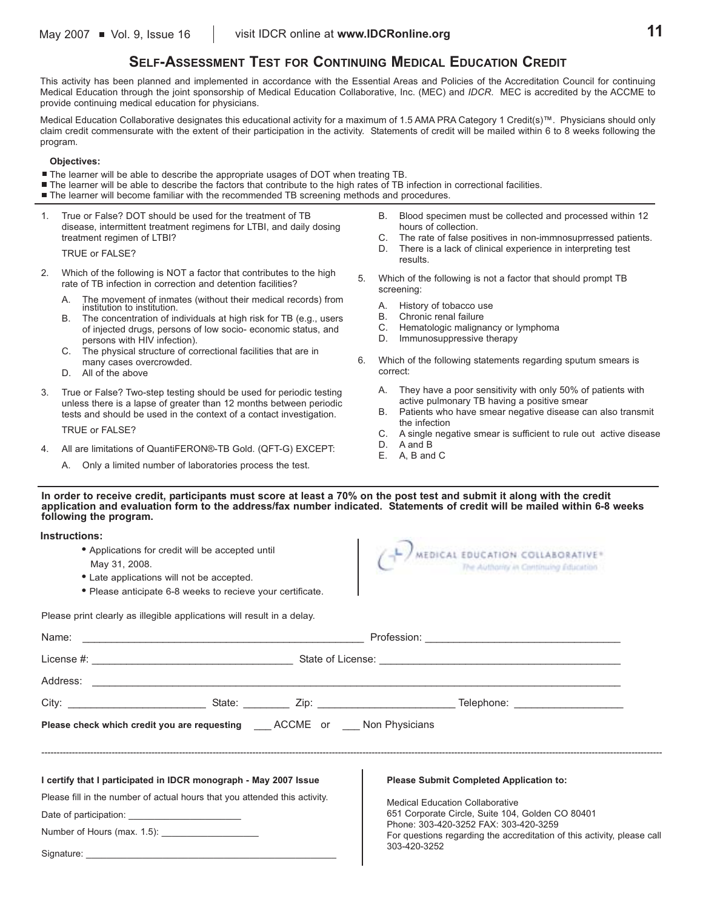## **SELF-ASSESSMENT TEST FOR CONTINUING MEDICAL EDUCATION CREDIT**

This activity has been planned and implemented in accordance with the Essential Areas and Policies of the Accreditation Council for continuing Medical Education through the joint sponsorship of Medical Education Collaborative, Inc. (MEC) and *IDCR*. MEC is accredited by the ACCME to provide continuing medical education for physicians.

Medical Education Collaborative designates this educational activity for a maximum of 1.5 AMA PRA Category 1 Credit(s)™. Physicians should only claim credit commensurate with the extent of their participation in the activity. Statements of credit will be mailed within 6 to 8 weeks following the program.

#### **Objectives:**

- The learner will be able to describe the appropriate usages of DOT when treating TB.
- The learner will be able to describe the factors that contribute to the high rates of TB infection in correctional facilities.
- The learner will become familiar with the recommended TB screening methods and procedures.
- 1. True or False? DOT should be used for the treatment of TB disease, intermittent treatment regimens for LTBI, and daily dosing treatment regimen of LTBI?

TRUE or FALSE?

- 2. Which of the following is NOT a factor that contributes to the high rate of TB infection in correction and detention facilities?
	- A. The movement of inmates (without their medical records) from institution to institution.
	- B. The concentration of individuals at high risk for TB (e.g., users of injected drugs, persons of low socio- economic status, and persons with HIV infection).
	- C. The physical structure of correctional facilities that are in
	- many cases overcrowded.
	- D. All of the above
- 3. True or False? Two-step testing should be used for periodic testing unless there is a lapse of greater than 12 months between periodic tests and should be used in the context of a contact investigation.

TRUE or FALSE?

- 4. All are limitations of QuantiFERON®-TB Gold. (QFT-G) EXCEPT:
	- A. Only a limited number of laboratories process the test.
- B. Blood specimen must be collected and processed within 12 hours of collection.
- C. The rate of false positives in non-immnosuprressed patients.<br>D. There is a lack of clinical experience in interpreting test
- There is a lack of clinical experience in interpreting test results.
- 5. Which of the following is not a factor that should prompt TB screening:
	-
	- A. History of tobacco use<br>B. Chronic renal failure Chronic renal failure
	- C. Hematologic malignancy or lymphoma
	- D. Immunosuppressive therapy
- 6. Which of the following statements regarding sputum smears is correct:

 $($   $\bigcap$  MEDICAL EDUCATION COLLABORATIVE

- A. They have a poor sensitivity with only 50% of patients with active pulmonary TB having a positive smear
- B. Patients who have smear negative disease can also transmit the infection
- C. A single negative smear is sufficient to rule out active disease

The Authority in Centinuing Education

- D. A and B<br>F A B and
- A, B and C

#### **In order to receive credit, participants must score at least a 70% on the post test and submit it along with the credit application and evaluation form to the address/fax number indicated. Statements of credit will be mailed within 6-8 weeks following the program.**

**Instructions:**

- **•** Applications for credit will be accepted until May 31, 2008.
- **•** Late applications will not be accepted.
- **•** Please anticipate 6-8 weeks to recieve your certificate.

Please print clearly as illegible applications will result in a delay.

| <b>Please check which credit you are requesting COCCONE OR SECONE OF ST AND Physicians</b> |  |  |                                                                                                                  |
|--------------------------------------------------------------------------------------------|--|--|------------------------------------------------------------------------------------------------------------------|
|                                                                                            |  |  |                                                                                                                  |
| I certify that I participated in IDCR monograph - May 2007 Issue                           |  |  | <b>Please Submit Completed Application to:</b>                                                                   |
| Please fill in the number of actual hours that you attended this activity.                 |  |  | <b>Medical Education Collaborative</b>                                                                           |
|                                                                                            |  |  | 651 Corporate Circle, Suite 104, Golden CO 80401                                                                 |
|                                                                                            |  |  | Phone: 303-420-3252 FAX: 303-420-3259<br>For questions regarding the accreditation of this activity, please call |
|                                                                                            |  |  | 303-420-3252                                                                                                     |